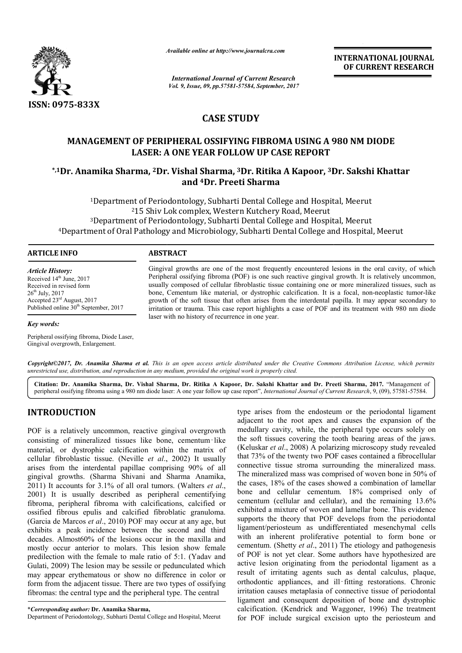

*Available online at http://www.journalcra.com*

*International Journal of Current Research Vol. 9, Issue, 09, pp.57581-57584, September, 2017* **INTERNATIONAL JOURNAL OF CURRENT RESEARCH**

# **CASE STUDY**

## **MANAGEMENT OF PERIPHERAL OSSIFYING FIBROMA USING A 980 NM DIODE LASER: A ONE YEAR FOLLOW UP CASE REPORT**

## \*,1Dr. Anamika Sharma, <sup>2</sup>Dr. Vishal Sharma, <sup>3</sup>Dr. Ritika A Kapoor, <sup>3</sup>Dr. Sakshi Khattar **and 4Dr. Preeti Sharma**

<sup>1</sup>Department of Periodontology, Subharti Dental College and Hospital, Meerut <sup>2</sup>15 Shiv Lok complex, Western Kutchery Road, Meerut 3Department of Periodontology, Subharti Dental College and Hospital, Meerut <sup>4</sup>Department of Oral Pathology and Microbiology, Subharti Dental College and Hospital, Meerut

#### **ARTICLE INFO ABSTRACT**

*Article History:* Received 14<sup>th</sup> June, 2017 Received in revised form 26th July, 2017 Accepted 23rd August, 2017 Published online 30<sup>th</sup> September, 2017

*Key words:*

Peripheral ossifying fibroma, Diode Laser, Gingival overgrowth, Enlargement.

Gingival growths are one of the most frequently encountered lesions in the oral cavity, of which Peripheral ossifying fibroma (POF) is one such reactive gingival growth. It is relatively uncommon, usually composed of cellular fibroblastic tissue containing one or more mineralized tissues, such as Gingival growths are one of the most frequently encountered lesions in the oral cavity, of which Peripheral ossifying fibroma (POF) is one such reactive gingival growth. It is relatively uncommon, usually composed of cellu growth of the soft tissue that often arises from the interdental papilla. It may appear secondary to growth of the soft tissue that often arises from the interdental papilla. It may appear secondary to irritation or trauma. This case report highlights a case of POF and its treatment with 980 nm diode laser with no history of recurrence in one year.

Copyright©2017, Dr. Anamika Sharma et al. This is an open access article distributed under the Creative Commons Attribution License, which permits unrestricted use, distribution, and reproduction in any medium, provided the original work is properly cited.

Citation: Dr. Anamika Sharma, Dr. Vishal Sharma, Dr. Ritika A Kapoor, Dr. Sakshi Khattar and Dr. Preeti Sharma, 2017. "Management of peripheral ossifying fibroma using a 980 nm diode laser: A one year follow up case report", *International Journal of Current Research Research*, 9, (09), 57581-57584.

## **INTRODUCTION**

POF is a relatively uncommon, reactive gingival overgrowth consisting of mineralized tissues like bone, cementum‑like material, or dystrophic calcification within the matrix of cellular fibroblastic tissue. (Neville *et al.*, 2002) It usually arises from the interdental papillae comprising 90% of all gingival growths. (Sharma Shivani and Sharma Anamika Anamika, 2011) It accounts for 3.1% of all oral tumors. (Walters *et al*., 2001) It is usually described as peripheral cementifying fibroma, peripheral fibroma with calcifications, calcified or ossified fibrous epulis and calcified fibroblatic granuloma. (Garcia de Marcos *et al*., 2010) POF may occur at any age, but exhibits a peak incidence between the second and third decades. Almost60% of the lesions occur in the maxilla and mostly occur anterior to molars. This lesion show female predilection with the female to male ratio of 5:1. (Yadav and Gulati, 2009) The lesion may be sessile or pedunculated which may appear erythematous or show no difference in color or form from the adjacent tissue. There are two types of ossifying fibromas: the central type and the peripheral type. The central

\**Corresponding author:* **Dr. Anamika Sharma,**

Department of Periodontology, Subharti Dental College and Hospital, Meerut

type arises from the endosteum or the periodontal ligament adjacent to the root apex and causes the expansion of the medullary cavity, while, the peripheral type occurs solely on the soft tissues covering the tooth bearing areas of the jaws. (Keluskar et al., 2008) A polarizing microscopy study revealed that 73% of the twenty two POF cases contained a fibrocellular connective tissue stroma surrounding the mineralized mass. connective tissue stroma surrounding the mineralized The mineralized mass was comprised of woven bone in 50% of the cases, 18% of the cases showed a combination of lamellar bone and cellular cementum. 18% comprised only of cementum (cellular and cellular), and the remaining 13.6% exhibited a mixture of woven and lamellar bone. This evidence supports the theory that POF develops from the periodontal ligament/periosteum as undifferentiated mesenchymal cells with an inherent proliferative potential to form bone or cementum. (Shetty *et al.*, 2011) The etiology and pathogenesis of POF is not yet clear. Some authors have hypothesized are of POF is not yet clear. Some authors have hypothesized are active lesion originating from the periodontal ligament as a result of irritating agents such as dental calculus, plaque, orthodontic appliances, and ill-fitting restorations. Chronic irritation causes metaplasia of connective tissue of periodontal ligament and consequent deposition of bone and dystrophic calcification. (Kendrick and Waggoner, 1996) The treatment for POF include surgical excision upto the periosteum and mineralized mass was comprised of woven bone in 50% of cases, 18% of the cases showed a combination of lamellar<br>e and cellular cementum. 18% comprised only of<br>entum (cellular and cellular), and the remaining 13.6%<br>ibited a irritation causes metaplasia of connective tissue of periodontal<br>ligament and consequent deposition of bone and dystrophic<br>calcification. (Kendrick and Waggoner, 1996) The treatment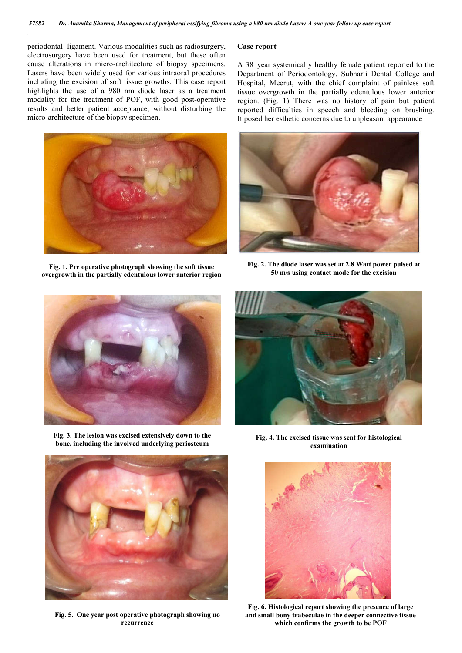periodontal ligament. Various modalities such as radiosurgery, electrosurgery have been used for treatment, but these often cause alterations in micro-architecture of biopsy specimens. Lasers have been widely used for various intraoral procedures including the excision of soft tissue growths. This case report highlights the use of a 980 nm diode laser as a treatment modality for the treatment of POF, with good post-operative results and better patient acceptance, without disturbing the micro-architecture of the biopsy specimen.



**Fig. 1. Pre operative photograph showing the soft tissue overgrowth in the partially edentulous lower anterior region**

#### **Case report**

A 38‑year systemically healthy female patient reported to the Department of Periodontology, Subharti Dental College and Hospital, Meerut, with the chief complaint of painless soft tissue overgrowth in the partially edentulous lower anterior region. (Fig. 1) There was no history of pain but patient reported difficulties in speech and bleeding on brushing. It posed her esthetic concerns due to unpleasant appearance



**Fig. 2. The diode laser was set at 2.8 Watt power pulsed at 50 m/s using contact mode for the excision**



**Fig. 3. The lesion was excised extensively down to the bone, including the involved underlying periosteum Fig. 4. The excised tissue was sent for histological** 



**Fig. 5. One year post operative photograph showing no recurrence**



**examination**



**Fig. 6. Histological report showing the presence of large and small bony trabeculae in the deeper connective tissue which confirms the growth to be POF**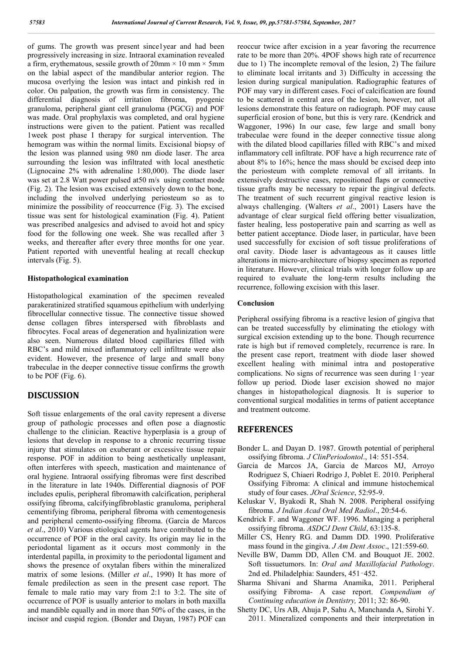of gums. The growth was present since1year and had been progressively increasing in size. Intraoral examination revealed a firm, erythematous, sessile growth of  $20 \text{mm} \times 10 \text{ mm} \times 5 \text{mm}$ on the labial aspect of the mandibular anterior region. The mucosa overlying the lesion was intact and pinkish red in color. On palpation, the growth was firm in consistency. The differential diagnosis of irritation fibroma, pyogenic granuloma, peripheral giant cell granuloma (PGCG) and POF was made. Oral prophylaxis was completed, and oral hygiene instructions were given to the patient. Patient was recalled 1week post phase I therapy for surgical intervention. The hemogram was within the normal limits. Excisional biopsy of the lesion was planned using 980 nm diode laser. The area surrounding the lesion was infiltrated with local anesthetic (Lignocaine 2% with adrenaline 1:80,000). The diode laser was set at 2.8 Watt power pulsed at50 m/s using contact mode (Fig. 2). The lesion was excised extensively down to the bone, including the involved underlying periosteum so as to minimize the possibility of reoccurrence (Fig. 3). The excised tissue was sent for histological examination (Fig. 4). Patient was prescribed analgesics and advised to avoid hot and spicy food for the following one week. She was recalled after 3 weeks, and thereafter after every three months for one year. Patient reported with uneventful healing at recall checkup intervals (Fig. 5).

#### **Histopathological examination**

Histopathological examination of the specimen revealed parakeratinized stratified squamous epithelium with underlying fibrocellular connective tissue. The connective tissue showed dense collagen fibres interspersed with fibroblasts and fibrocytes. Focal areas of degeneration and hyalinization were also seen. Numerous dilated blood capillaries filled with RBC's and mild mixed inflammatory cell infiltrate were also evident. However, the presence of large and small bony trabeculae in the deeper connective tissue confirms the growth to be POF (Fig. 6).

### **DISCUSSION**

Soft tissue enlargements of the oral cavity represent a diverse group of pathologic processes and often pose a diagnostic challenge to the clinician. Reactive hyperplasia is a group of lesions that develop in response to a chronic recurring tissue injury that stimulates on exuberant or excessive tissue repair response. POF in addition to being aesthetically unpleasant, often interferes with speech, mastication and maintenance of oral hygiene. Intraoral ossifying fibromas were first described in the literature in late 1940s. Differential diagnosis of POF includes epulis, peripheral fibromawith calcification, peripheral ossifying fibroma, calcifyingfibroblastic granuloma, peripheral cementifying fibroma, peripheral fibroma with cementogenesis and peripheral cemento-ossifying fibroma. (Garcia de Marcos *et al*., 2010) Various etiological agents have contributed to the occurrence of POF in the oral cavity. Its origin may lie in the periodontal ligament as it occurs most commonly in the interdental papilla, in proximity to the periodontal ligament and shows the presence of oxytalan fibers within the mineralized matrix of some lesions. (Miller *et al*., 1990) It has more of female predilection as seen in the present case report. The female to male ratio may vary from 2:1 to 3:2. The site of occurrence of POF is usually anterior to molars in both maxilla and mandible equally and in more than 50% of the cases, in the incisor and cuspid region. (Bonder and Dayan, 1987) POF can

reoccur twice after excision in a year favoring the recurrence rate to be more than 20%. 4POF shows high rate of recurrence due to 1) The incomplete removal of the lesion, 2) The failure to eliminate local irritants and 3) Difficulty in accessing the lesion during surgical manipulation. Radiographic features of POF may vary in different cases. Foci of calcification are found to be scattered in central area of the lesion, however, not all lesions demonstrate this feature on radiograph. POF may cause superficial erosion of bone, but this is very rare. (Kendrick and Waggoner, 1996) In our case, few large and small bony trabeculae were found in the deeper connective tissue along with the dilated blood capillaries filled with RBC's and mixed inflammatory cell infiltrate. POF have a high recurrence rate of about 8% to 16%; hence the mass should be excised deep into the periosteum with complete removal of all irritants. In extensively destructive cases, repositioned flaps or connective tissue grafts may be necessary to repair the gingival defects. The treatment of such recurrent gingival reactive lesion is always challenging. (Walters *et al*., 2001) Lasers have the advantage of clear surgical field offering better visualization, faster healing, less postoperative pain and scarring as well as better patient acceptance. Diode laser, in particular, have been used successfully for excision of soft tissue proliferations of oral cavity. Diode laser is advantageous as it causes little alterations in micro-architecture of biopsy specimen as reported in literature. However, clinical trials with longer follow up are required to evaluate the long-term results including the recurrence, following excision with this laser.

#### **Conclusion**

Peripheral ossifying fibroma is a reactive lesion of gingiva that can be treated successfully by eliminating the etiology with surgical excision extending up to the bone. Though recurrence rate is high but if removed completely, recurrence is rare. In the present case report, treatment with diode laser showed excellent healing with minimal intra and postoperative complications. No signs of recurrence was seen during 1‑year follow up period. Diode laser excision showed no major changes in histopathological diagnosis. It is superior to conventional surgical modalities in terms of patient acceptance and treatment outcome.

### **REFERENCES**

- Bonder L. and Dayan D. 1987. Growth potential of peripheral ossifying fibroma. *J ClinPeriodontol*., 14: 551-554.
- Garcia de Marcos JA, Garcia de Marcos MJ, Arroyo Rodriguez S, Chiaeri Rodrigo J, Poblet E. 2010. Peripheral Ossifying Fibroma: A clinical and immune histochemical study of four cases. *JOral Science*, 52:95-9.
- Keluskar V, Byakodi R, Shah N. 2008. Peripheral ossifying fibroma*. J Indian Acad Oral Med Radiol*., 20:54-6.
- Kendrick F. and Waggoner WF. 1996. Managing a peripheral ossifying fibroma. *ASDCJ Dent Child*, 63:135-8.
- Miller CS, Henry RG. and Damm DD. 1990. Proliferative mass found in the gingiva. *J Am Dent Assoc*., 121:559-60.
- Neville BW, Damm DD, Allen CM. and Bouquot JE. 2002. Soft tissuetumors. In: *Oral and Maxillofacial Pathology*. 2nd ed. Philadelphia: Saunders, 451‑452.
- Sharma Shivani and Sharma Anamika, 2011. Peripheral ossifying Fibroma- A case report. *Compendium of Continuing education in Dentistry,* 2011; 32: 86-90.
- Shetty DC, Urs AB, Ahuja P, Sahu A, Manchanda A, Sirohi Y. 2011. Mineralized components and their interpretation in